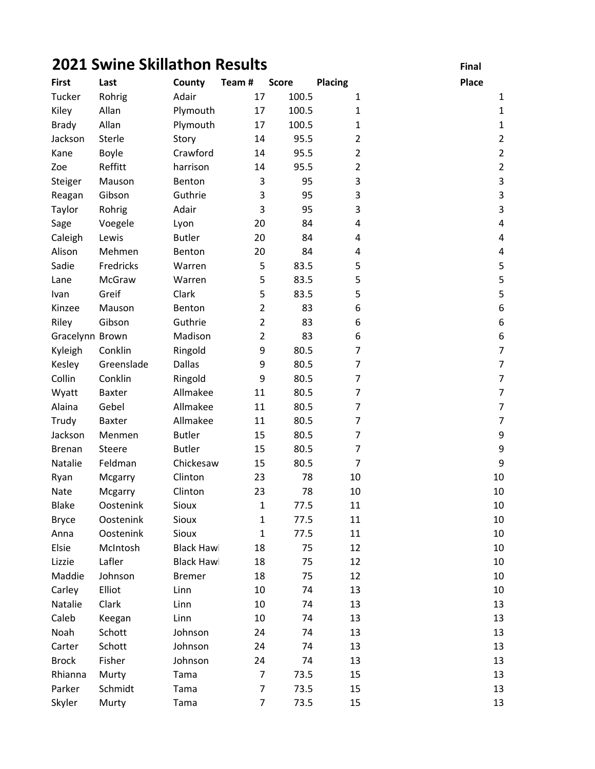## **2021 Swine Skillathon Results** Final

| <b>First</b>    | Last          | County            | Team#          | <b>Score</b> | <b>Placing</b> | Place                    |
|-----------------|---------------|-------------------|----------------|--------------|----------------|--------------------------|
| Tucker          | Rohrig        | Adair             | 17             | 100.5        | $\mathbf{1}$   | 1                        |
| Kiley           | Allan         | Plymouth          | 17             | 100.5        | 1              | $\mathbf{1}$             |
| <b>Brady</b>    | Allan         | Plymouth          | 17             | 100.5        | 1              | $\mathbf{1}$             |
| Jackson         | Sterle        | Story             | 14             | 95.5         | $\overline{2}$ | $\overline{2}$           |
| Kane            | Boyle         | Crawford          | 14             | 95.5         | $\overline{2}$ | $\overline{2}$           |
| Zoe             | Reffitt       | harrison          | 14             | 95.5         | $\overline{2}$ | $\overline{2}$           |
| Steiger         | Mauson        | Benton            | 3              | 95           | 3              | $\mathbf{3}$             |
| Reagan          | Gibson        | Guthrie           | 3              | 95           | 3              | $\mathsf 3$              |
| Taylor          | Rohrig        | Adair             | 3              | 95           | 3              | 3                        |
| Sage            | Voegele       | Lyon              | 20             | 84           | 4              | 4                        |
| Caleigh         | Lewis         | <b>Butler</b>     | 20             | 84           | 4              | 4                        |
| Alison          | Mehmen        | Benton            | 20             | 84           | 4              | 4                        |
| Sadie           | Fredricks     | Warren            | 5              | 83.5         | 5              | 5                        |
| Lane            | McGraw        | Warren            | 5              | 83.5         | 5              | 5                        |
| Ivan            | Greif         | Clark             | 5              | 83.5         | 5              | 5                        |
| Kinzee          | Mauson        | Benton            | $\overline{2}$ | 83           | 6              | $\boldsymbol{6}$         |
| Riley           | Gibson        | Guthrie           | $\overline{2}$ | 83           | 6              | $\boldsymbol{6}$         |
| Gracelynn Brown |               | Madison           | $\overline{2}$ | 83           | 6              | 6                        |
| Kyleigh         | Conklin       | Ringold           | 9              | 80.5         | 7              | $\overline{7}$           |
| Kesley          | Greenslade    | <b>Dallas</b>     | 9              | 80.5         | 7              | $\overline{\mathcal{I}}$ |
| Collin          | Conklin       | Ringold           | 9              | 80.5         | 7              | $\boldsymbol{7}$         |
| Wyatt           | Baxter        | Allmakee          | 11             | 80.5         | 7              | $\overline{7}$           |
| Alaina          | Gebel         | Allmakee          | 11             | 80.5         | 7              | $\overline{\mathcal{I}}$ |
| Trudy           | Baxter        | Allmakee          | 11             | 80.5         | 7              | $\overline{7}$           |
| Jackson         | Menmen        | <b>Butler</b>     | 15             | 80.5         | 7              | 9                        |
| <b>Brenan</b>   | <b>Steere</b> | <b>Butler</b>     | 15             | 80.5         | $\overline{7}$ | $\boldsymbol{9}$         |
| Natalie         | Feldman       | Chickesaw         | 15             | 80.5         | $\overline{7}$ | $\boldsymbol{9}$         |
| Ryan            | Mcgarry       | Clinton           | 23             | 78           | 10             | 10                       |
| Nate            | Mcgarry       | Clinton           | 23             | 78           | 10             | 10                       |
| <b>Blake</b>    | Oostenink     | Sioux             | $\mathbf{1}$   | 77.5         | 11             | $10\,$                   |
| <b>Bryce</b>    | Oostenink     | Sioux             | $\mathbf{1}$   | 77.5         | 11             | 10                       |
| Anna            | Oostenink     | Sioux             | $\mathbf{1}$   | 77.5         | 11             | 10                       |
| Elsie           | McIntosh      | <b>Black Hawl</b> | 18             | 75           | 12             | 10                       |
| Lizzie          | Lafler        | <b>Black Hawl</b> | 18             | 75           | 12             | 10                       |
| Maddie          | Johnson       | <b>Bremer</b>     | 18             | 75           | 12             | 10                       |
| Carley          | Elliot        | Linn              | 10             | 74           | 13             | 10                       |
| Natalie         | Clark         | Linn              | 10             | 74           | 13             | 13                       |
| Caleb           | Keegan        | Linn              | 10             | 74           | 13             | 13                       |
| Noah            | Schott        | Johnson           | 24             | 74           | 13             | 13                       |
| Carter          | Schott        | Johnson           | 24             | 74           | 13             | 13                       |
| <b>Brock</b>    | Fisher        | Johnson           | 24             | 74           | 13             | 13                       |
| Rhianna         | Murty         | Tama              | 7              | 73.5         | 15             | 13                       |
| Parker          | Schmidt       | Tama              | 7              | 73.5         | 15             | 13                       |
| Skyler          | Murty         | Tama              | $\overline{7}$ | 73.5         | 15             | 13                       |